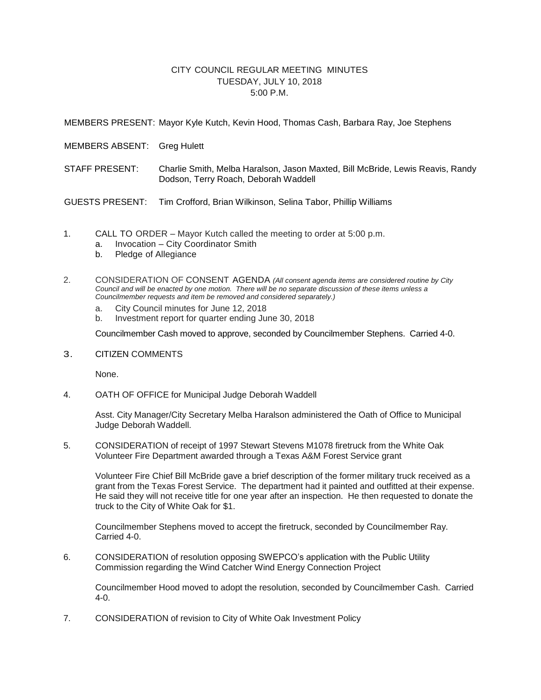## CITY COUNCIL REGULAR MEETING MINUTES TUESDAY, JULY 10, 2018 5:00 P.M.

MEMBERS PRESENT: Mayor Kyle Kutch, Kevin Hood, Thomas Cash, Barbara Ray, Joe Stephens

- MEMBERS ABSENT: Greg Hulett
- STAFF PRESENT: Charlie Smith, Melba Haralson, Jason Maxted, Bill McBride, Lewis Reavis, Randy Dodson, Terry Roach, Deborah Waddell

GUESTS PRESENT: Tim Crofford, Brian Wilkinson, Selina Tabor, Phillip Williams

- 1. CALL TO ORDER Mayor Kutch called the meeting to order at 5:00 p.m.
	- a. Invocation City Coordinator Smith
	- b. Pledge of Allegiance
- 2. CONSIDERATION OF CONSENT AGENDA *(All consent agenda items are considered routine by City Council and will be enacted by one motion. There will be no separate discussion of these items unless a Councilmember requests and item be removed and considered separately.)*
	- a. City Council minutes for June 12, 2018
	- b. Investment report for quarter ending June 30, 2018

Councilmember Cash moved to approve, seconded by Councilmember Stephens. Carried 4-0.

3. CITIZEN COMMENTS

None.

4. OATH OF OFFICE for Municipal Judge Deborah Waddell

Asst. City Manager/City Secretary Melba Haralson administered the Oath of Office to Municipal Judge Deborah Waddell.

5. CONSIDERATION of receipt of 1997 Stewart Stevens M1078 firetruck from the White Oak Volunteer Fire Department awarded through a Texas A&M Forest Service grant

Volunteer Fire Chief Bill McBride gave a brief description of the former military truck received as a grant from the Texas Forest Service. The department had it painted and outfitted at their expense. He said they will not receive title for one year after an inspection. He then requested to donate the truck to the City of White Oak for \$1.

Councilmember Stephens moved to accept the firetruck, seconded by Councilmember Ray. Carried 4-0.

6. CONSIDERATION of resolution opposing SWEPCO's application with the Public Utility Commission regarding the Wind Catcher Wind Energy Connection Project

Councilmember Hood moved to adopt the resolution, seconded by Councilmember Cash. Carried 4-0.

7. CONSIDERATION of revision to City of White Oak Investment Policy